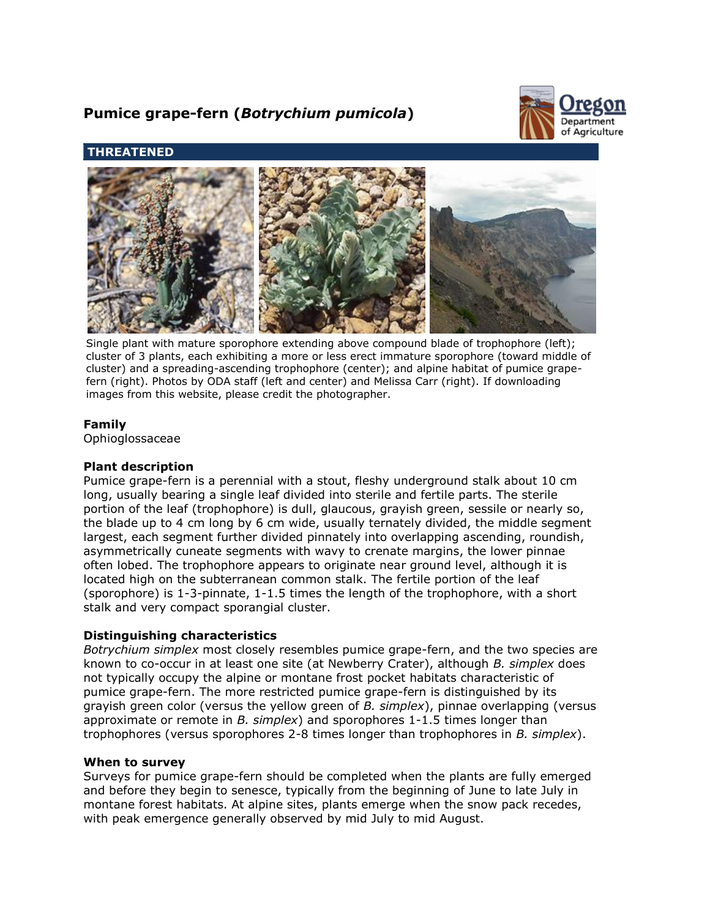# **Pumice grape-fern (***Botrychium pumicola***)**



## **THREATENED**



Single plant with mature sporophore extending above compound blade of trophophore (left); cluster of 3 plants, each exhibiting a more or less erect immature sporophore (toward middle of cluster) and a spreading-ascending trophophore (center); and alpine habitat of pumice grapefern (right). Photos by ODA staff (left and center) and Melissa Carr (right). If downloading images from this website, please credit the photographer.

## **Family**

Ophioglossaceae

## **Plant description**

Pumice grape-fern is a perennial with a stout, fleshy underground stalk about 10 cm long, usually bearing a single leaf divided into sterile and fertile parts. The sterile portion of the leaf (trophophore) is dull, glaucous, grayish green, sessile or nearly so, the blade up to 4 cm long by 6 cm wide, usually ternately divided, the middle segment largest, each segment further divided pinnately into overlapping ascending, roundish, asymmetrically cuneate segments with wavy to crenate margins, the lower pinnae often lobed. The trophophore appears to originate near ground level, although it is located high on the subterranean common stalk. The fertile portion of the leaf (sporophore) is 1-3-pinnate, 1-1.5 times the length of the trophophore, with a short stalk and very compact sporangial cluster.

## **Distinguishing characteristics**

*Botrychium simplex* most closely resembles pumice grape-fern, and the two species are known to co-occur in at least one site (at Newberry Crater), although *B. simplex* does not typically occupy the alpine or montane frost pocket habitats characteristic of pumice grape-fern. The more restricted pumice grape-fern is distinguished by its grayish green color (versus the yellow green of *B. simplex*), pinnae overlapping (versus approximate or remote in *B. simplex*) and sporophores 1-1.5 times longer than trophophores (versus sporophores 2-8 times longer than trophophores in *B. simplex*).

#### **When to survey**

Surveys for pumice grape-fern should be completed when the plants are fully emerged and before they begin to senesce, typically from the beginning of June to late July in montane forest habitats. At alpine sites, plants emerge when the snow pack recedes, with peak emergence generally observed by mid July to mid August.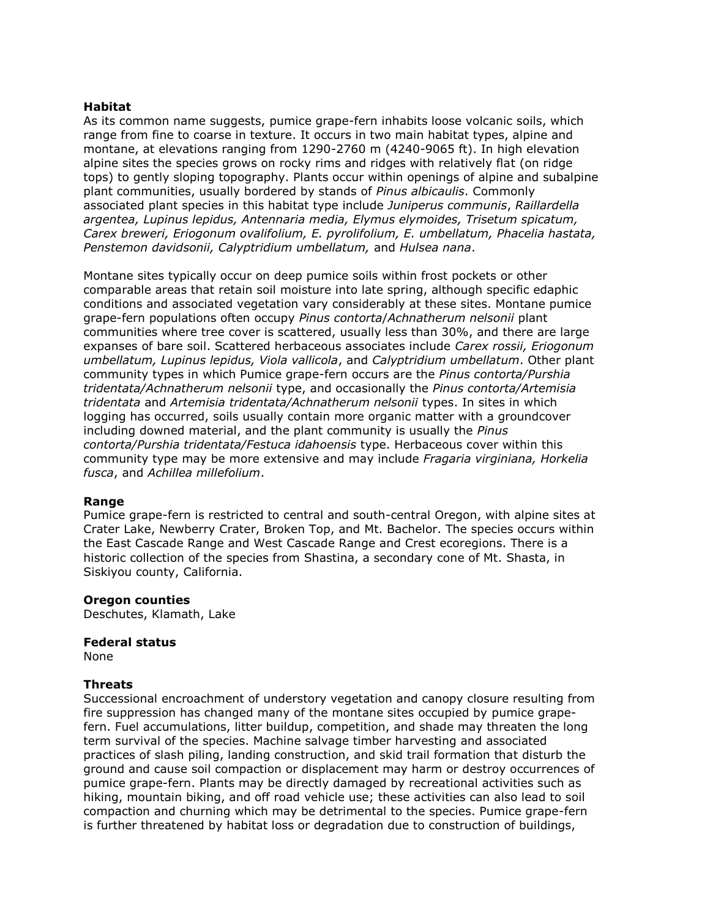#### **Habitat**

As its common name suggests, pumice grape-fern inhabits loose volcanic soils, which range from fine to coarse in texture. It occurs in two main habitat types, alpine and montane, at elevations ranging from 1290-2760 m (4240-9065 ft). In high elevation alpine sites the species grows on rocky rims and ridges with relatively flat (on ridge tops) to gently sloping topography. Plants occur within openings of alpine and subalpine plant communities, usually bordered by stands of *Pinus albicaulis*. Commonly associated plant species in this habitat type include *Juniperus communis*, *Raillardella argentea, Lupinus lepidus, Antennaria media, Elymus elymoides, Trisetum spicatum, Carex breweri, Eriogonum ovalifolium, E. pyrolifolium, E. umbellatum, Phacelia hastata, Penstemon davidsonii, Calyptridium umbellatum,* and *Hulsea nana*.

Montane sites typically occur on deep pumice soils within frost pockets or other comparable areas that retain soil moisture into late spring, although specific edaphic conditions and associated vegetation vary considerably at these sites. Montane pumice grape-fern populations often occupy *Pinus contorta*/*Achnatherum nelsonii* plant communities where tree cover is scattered, usually less than 30%, and there are large expanses of bare soil. Scattered herbaceous associates include *Carex rossii, Eriogonum umbellatum, Lupinus lepidus, Viola vallicola*, and *Calyptridium umbellatum*. Other plant community types in which Pumice grape-fern occurs are the *Pinus contorta/Purshia tridentata/Achnatherum nelsonii* type, and occasionally the *Pinus contorta/Artemisia tridentata* and *Artemisia tridentata/Achnatherum nelsonii* types. In sites in which logging has occurred, soils usually contain more organic matter with a groundcover including downed material, and the plant community is usually the *Pinus contorta/Purshia tridentata/Festuca idahoensis* type. Herbaceous cover within this community type may be more extensive and may include *Fragaria virginiana, Horkelia fusca*, and *Achillea millefolium*.

#### **Range**

Pumice grape-fern is restricted to central and south-central Oregon, with alpine sites at Crater Lake, Newberry Crater, Broken Top, and Mt. Bachelor. The species occurs within the East Cascade Range and West Cascade Range and Crest ecoregions. There is a historic collection of the species from Shastina, a secondary cone of Mt. Shasta, in Siskiyou county, California.

#### **Oregon counties**

Deschutes, Klamath, Lake

#### **Federal status**

None

#### **Threats**

Successional encroachment of understory vegetation and canopy closure resulting from fire suppression has changed many of the montane sites occupied by pumice grapefern. Fuel accumulations, litter buildup, competition, and shade may threaten the long term survival of the species. Machine salvage timber harvesting and associated practices of slash piling, landing construction, and skid trail formation that disturb the ground and cause soil compaction or displacement may harm or destroy occurrences of pumice grape-fern. Plants may be directly damaged by recreational activities such as hiking, mountain biking, and off road vehicle use; these activities can also lead to soil compaction and churning which may be detrimental to the species. Pumice grape-fern is further threatened by habitat loss or degradation due to construction of buildings,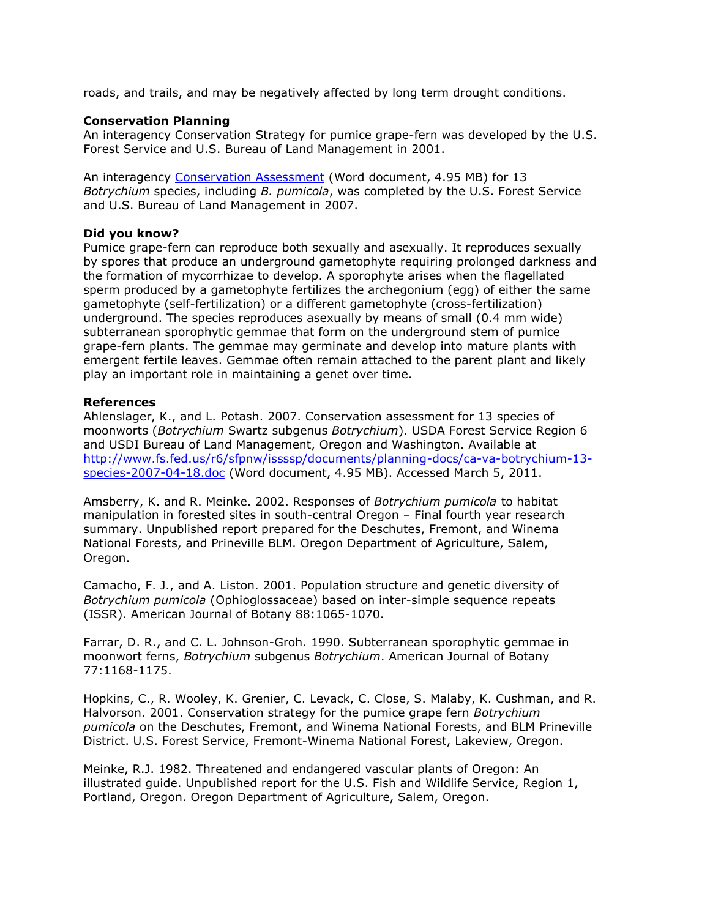roads, and trails, and may be negatively affected by long term drought conditions.

#### **Conservation Planning**

An interagency Conservation Strategy for pumice grape-fern was developed by the U.S. Forest Service and U.S. Bureau of Land Management in 2001.

An interagency [Conservation Assessment](http://www.fs.fed.us/r6/sfpnw/issssp/documents/planning-docs/ca-va-botrychium-13-species-2007-04-18.doc) (Word document, 4.95 MB) for 13 *Botrychium* species, including *B. pumicola*, was completed by the U.S. Forest Service and U.S. Bureau of Land Management in 2007.

### **Did you know?**

Pumice grape-fern can reproduce both sexually and asexually. It reproduces sexually by spores that produce an underground gametophyte requiring prolonged darkness and the formation of mycorrhizae to develop. A sporophyte arises when the flagellated sperm produced by a gametophyte fertilizes the archegonium (egg) of either the same gametophyte (self-fertilization) or a different gametophyte (cross-fertilization) underground. The species reproduces asexually by means of small (0.4 mm wide) subterranean sporophytic gemmae that form on the underground stem of pumice grape-fern plants. The gemmae may germinate and develop into mature plants with emergent fertile leaves. Gemmae often remain attached to the parent plant and likely play an important role in maintaining a genet over time.

### **References**

Ahlenslager, K., and L. Potash. 2007. Conservation assessment for 13 species of moonworts (*Botrychium* Swartz subgenus *Botrychium*). USDA Forest Service Region 6 and USDI Bureau of Land Management, Oregon and Washington. Available at [http://www.fs.fed.us/r6/sfpnw/issssp/documents/planning-docs/ca-va-botrychium-13](http://www.fs.fed.us/r6/sfpnw/issssp/documents/planning-docs/ca-va-botrychium-13-species-2007-04-18.doc) [species-2007-04-18.doc](http://www.fs.fed.us/r6/sfpnw/issssp/documents/planning-docs/ca-va-botrychium-13-species-2007-04-18.doc) (Word document, 4.95 MB). Accessed March 5, 2011.

Amsberry, K. and R. Meinke. 2002. Responses of *Botrychium pumicola* to habitat manipulation in forested sites in south-central Oregon – Final fourth year research summary. Unpublished report prepared for the Deschutes, Fremont, and Winema National Forests, and Prineville BLM. Oregon Department of Agriculture, Salem, Oregon.

Camacho, F. J., and A. Liston. 2001. Population structure and genetic diversity of *Botrychium pumicola* (Ophioglossaceae) based on inter-simple sequence repeats (ISSR). American Journal of Botany 88:1065-1070.

Farrar, D. R., and C. L. Johnson-Groh. 1990. Subterranean sporophytic gemmae in moonwort ferns, *Botrychium* subgenus *Botrychium*. American Journal of Botany 77:1168-1175.

Hopkins, C., R. Wooley, K. Grenier, C. Levack, C. Close, S. Malaby, K. Cushman, and R. Halvorson. 2001. Conservation strategy for the pumice grape fern *Botrychium pumicola* on the Deschutes, Fremont, and Winema National Forests, and BLM Prineville District. U.S. Forest Service, Fremont-Winema National Forest, Lakeview, Oregon.

Meinke, R.J. 1982. Threatened and endangered vascular plants of Oregon: An illustrated guide. Unpublished report for the U.S. Fish and Wildlife Service, Region 1, Portland, Oregon. Oregon Department of Agriculture, Salem, Oregon.